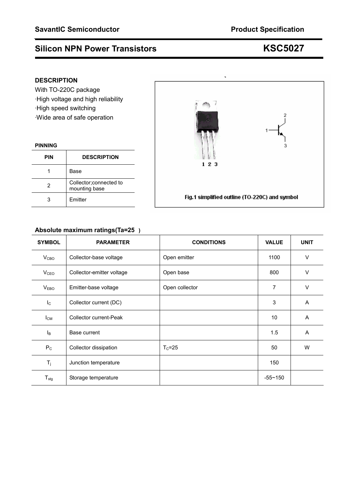## **DESCRIPTION**

With TO-220C package ·High voltage and high reliability ·High speed switching ·Wide area of safe operation

### **PINNING**

| <b>PIN</b> | <b>DESCRIPTION</b>                       |
|------------|------------------------------------------|
|            | Base                                     |
| 2          | Collector; connected to<br>mounting base |
|            | <b>Fmitter</b>                           |

## **Absolute maximum ratings(Ta=25)**

| <b>SYMBOL</b>             | <b>PARAMETER</b>          | <b>CONDITIONS</b> | <b>VALUE</b> | <b>UNIT</b>    |
|---------------------------|---------------------------|-------------------|--------------|----------------|
| V <sub>CBO</sub>          | Collector-base voltage    | Open emitter      | 1100         | $\vee$         |
| V <sub>CEO</sub>          | Collector-emitter voltage | Open base         | 800          | $\vee$         |
| <b>VEBO</b>               | Emitter-base voltage      | Open collector    | 7            | $\vee$         |
| $\mathsf{I}_{\mathsf{C}}$ | Collector current (DC)    |                   | 3            | A              |
| $I_{CM}$                  | Collector current-Peak    |                   | 10           | A              |
| Iв                        | Base current              |                   | 1.5          | $\overline{A}$ |
| $P_{C}$                   | Collector dissipation     | $T_c = 25$        | 50           | W              |
| $T_j$                     | Junction temperature      |                   | 150          |                |
| $T_{\text{stg}}$          | Storage temperature       |                   | $-55 - 150$  |                |

eto, 7

 $123$ 

Fig.1 simplified outline (TO-220C) and symbol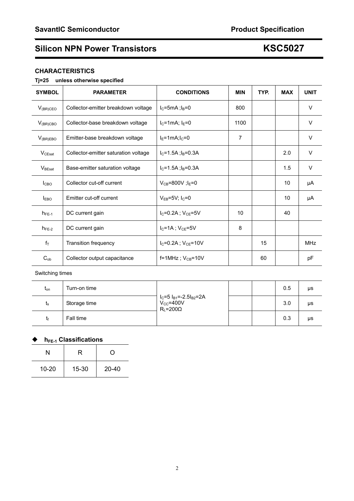### **CHARACTERISTICS**

### **Tj=25 unless otherwise specified**

| <b>SYMBOL</b>      | <b>PARAMETER</b>                     | <b>CONDITIONS</b>              | <b>MIN</b>     | TYP. | <b>MAX</b> | <b>UNIT</b> |
|--------------------|--------------------------------------|--------------------------------|----------------|------|------------|-------------|
| $V_{(BR)CEO}$      | Collector-emitter breakdown voltage  | $IC=5mA$ ; $IB=0$              | 800            |      |            | $\vee$      |
| $V_{(BR)CBO}$      | Collector-base breakdown voltage     | $I_C = 1$ mA; $I_E = 0$        | 1100           |      |            | V           |
| $V_{(BR)EBO}$      | Emitter-base breakdown voltage       | $IE=1mA$ ; $IC=0$              | $\overline{7}$ |      |            | V           |
| $V_{CEsat}$        | Collector-emitter saturation voltage | $I_C = 1.5A$ ; $I_B = 0.3A$    |                |      | 2.0        | V           |
| $V_{\text{BEsat}}$ | Base-emitter saturation voltage      | $IC=1.5A$ ; $IB=0.3A$          |                |      | 1.5        | $\vee$      |
| <b>I</b> CBO       | Collector cut-off current            | $V_{CB} = 800V$ ; $I_E = 0$    |                |      | 10         | μA          |
| <b>IEBO</b>        | Emitter cut-off current              | $V_{EB} = 5V$ ; $I_C = 0$      |                |      | 10         | μA          |
| $h_{FE-1}$         | DC current gain                      | $I_{C} = 0.2A$ ; $V_{CE} = 5V$ | 10             |      | 40         |             |
| $h_{FE-2}$         | DC current gain                      | $I_C = 1A$ ; $V_{CE} = 5V$     | 8              |      |            |             |
| $f_T$              | <b>Transition frequency</b>          | $I_C = 0.2A$ ; $V_{CE} = 10V$  |                | 15   |            | <b>MHz</b>  |
| $C_{ob}$           | Collector output capacitance         | $f=1$ MHz; $V_{CB}=10V$        |                | 60   |            | рF          |

### Switching times

| $t_{on}$ | Turn-on time | $I_C = 5 I_{B1} = -2.5 I_{B2} = 2A$<br>$V_{\text{CC}} = 400V$<br>$R_{L} = 200 \Omega$ |  | 0.5 | μs |
|----------|--------------|---------------------------------------------------------------------------------------|--|-----|----|
| ιs       | Storage time |                                                                                       |  | 3.0 | μs |
|          | Fall time    |                                                                                       |  | 0.3 | μs |

## ◆ h<sub>FE-1</sub> Classifications

| N         | R     | Ω         |
|-----------|-------|-----------|
| $10 - 20$ | 15-30 | $20 - 40$ |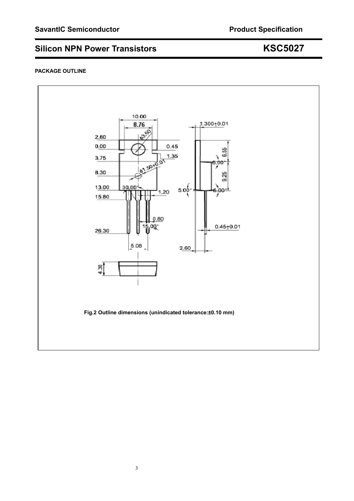### **PACKAGE OUTLINE**